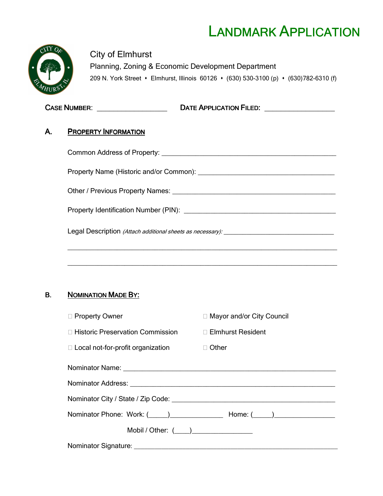# LANDMARK APPLICATION



City of Elmhurst Planning, Zoning & Economic Development Department 209 N. York Street • Elmhurst, Illinois 60126 • (630) 530-3100 (p) • (630) 782-6310 (f)

|    | DATE APPLICATION FILED: <b>CONSUMING APPLICATION</b> |
|----|------------------------------------------------------|
| Α. | <b>PROPERTY INFORMATION</b>                          |
|    |                                                      |
|    |                                                      |
|    |                                                      |
|    |                                                      |
|    |                                                      |
|    |                                                      |

# B. NOMINATION MADE BY:

| □ Property Owner                                       | □ Mayor and/or City Council                                                                                                                                                                                                    |
|--------------------------------------------------------|--------------------------------------------------------------------------------------------------------------------------------------------------------------------------------------------------------------------------------|
| □ Historic Preservation Commission □ Elmhurst Resident |                                                                                                                                                                                                                                |
| $\Box$ Local not-for-profit organization               | $\Box$ Other                                                                                                                                                                                                                   |
|                                                        |                                                                                                                                                                                                                                |
|                                                        |                                                                                                                                                                                                                                |
|                                                        |                                                                                                                                                                                                                                |
|                                                        | Nominator Phone: Work: (Comparison and Home: (Comparison and Home: (Comparison and Home: (Comparison and Home: Comparison and Home: Comparison and Home: Comparison and Home: (Comparison and Home: Comparison and Home: Compa |
| Mobil / Other: $(\_\_\_\_)$                            |                                                                                                                                                                                                                                |
|                                                        |                                                                                                                                                                                                                                |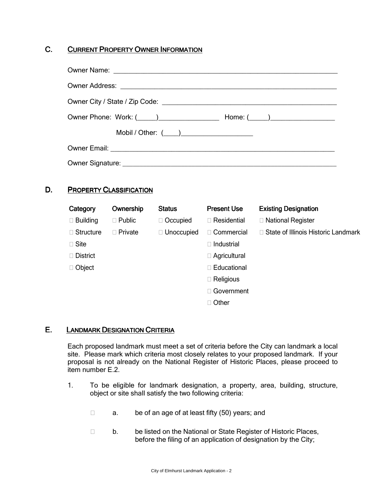## C. CURRENT PROPERTY OWNER INFORMATION

| $Home: ($ $)$ |
|---------------|
|               |
|               |
|               |

### D. PROPERTY CLASSIFICATION

| Category        | Ownership      | <b>Status</b> | <b>Present Use</b>  | <b>Existing Designation</b>                |
|-----------------|----------------|---------------|---------------------|--------------------------------------------|
| $\Box$ Building | $\Box$ Public  | □ Occupied    | □ Residential       | □ National Register                        |
| Structure<br>П. | $\Box$ Private | □ Unoccupied  | □ Commercial        | $\Box$ State of Illinois Historic Landmark |
| $\Box$ Site     |                |               | □ Industrial        |                                            |
| <b>District</b> |                |               | $\Box$ Agricultural |                                            |
| □ Object        |                |               | □ Educational       |                                            |
|                 |                |               | $\Box$ Religious    |                                            |
|                 |                |               | □ Government        |                                            |
|                 |                |               | □ Other             |                                            |

#### E. LANDMARK DESIGNATION CRITERIA

Each proposed landmark must meet a set of criteria before the City can landmark a local site. Please mark which criteria most closely relates to your proposed landmark. If your proposal is not already on the National Register of Historic Places, please proceed to item number E.2.

- 1. To be eligible for landmark designation, a property, area, building, structure, object or site shall satisfy the two following criteria:
	- □ a. be of an age of at least fifty (50) years; and
	- □ b. be listed on the National or State Register of Historic Places, before the filing of an application of designation by the City;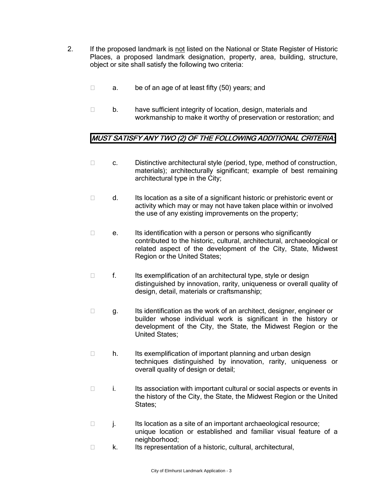- 2. If the proposed landmark is not listed on the National or State Register of Historic Places, a proposed landmark designation, property, area, building, structure, object or site shall satisfy the following two criteria:
	- $\Box$  a. be of an age of at least fifty (50) years; and
	- $\Box$  b. have sufficient integrity of location, design, materials and workmanship to make it worthy of preservation or restoration; and

## MUST SATISFY ANY TWO (2) OF THE FOLLOWING ADDITIONAL CRITERIA:

- $\Box$  c. Distinctive architectural style (period, type, method of construction, materials); architecturally significant; example of best remaining architectural type in the City;
- $\Box$  d. Its location as a site of a significant historic or prehistoric event or activity which may or may not have taken place within or involved the use of any existing improvements on the property;
- $\Box$  e. Its identification with a person or persons who significantly contributed to the historic, cultural, architectural, archaeological or related aspect of the development of the City, State, Midwest Region or the United States;
- $\Box$  f. Its exemplification of an architectural type, style or design distinguished by innovation, rarity, uniqueness or overall quality of design, detail, materials or craftsmanship;
- $\Box$  g. Its identification as the work of an architect, designer, engineer or builder whose individual work is significant in the history or development of the City, the State, the Midwest Region or the United States;
- $\Box$  h. Its exemplification of important planning and urban design techniques distinguished by innovation, rarity, uniqueness or overall quality of design or detail;
- $\Box$  i. Its association with important cultural or social aspects or events in the history of the City, the State, the Midwest Region or the United States;
- j. Its location as a site of an important archaeological resource; unique location or established and familiar visual feature of a neighborhood;
- $\Box$  k. Its representation of a historic, cultural, architectural,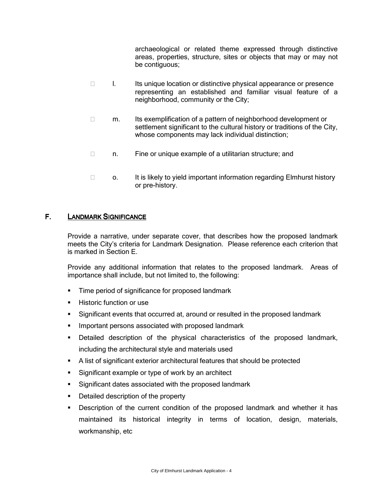archaeological or related theme expressed through distinctive areas, properties, structure, sites or objects that may or may not be contiguous;

- $\Box$  I. Its unique location or distinctive physical appearance or presence representing an established and familiar visual feature of a neighborhood, community or the City;
- $\Box$  m. Its exemplification of a pattern of neighborhood development or settlement significant to the cultural history or traditions of the City, whose components may lack individual distinction;
- □ n. Fine or unique example of a utilitarian structure; and
- $\Box$  o. It is likely to yield important information regarding Elmhurst history or pre-history.

#### F. LANDMARK SIGNIFICANCE

Provide a narrative, under separate cover, that describes how the proposed landmark meets the City's criteria for Landmark Designation. Please reference each criterion that is marked in Section E.

Provide any additional information that relates to the proposed landmark. Areas of importance shall include, but not limited to, the following:

- **Time period of significance for proposed landmark**
- -Historic function or use
- -Significant events that occurred at, around or resulted in the proposed landmark
- Important persons associated with proposed landmark
- Detailed description of the physical characteristics of the proposed landmark, including the architectural style and materials used
- A list of significant exterior architectural features that should be protected
- -Significant example or type of work by an architect
- Significant dates associated with the proposed landmark
- **•** Detailed description of the property
- - Description of the current condition of the proposed landmark and whether it has maintained its historical integrity in terms of location, design, materials, workmanship, etc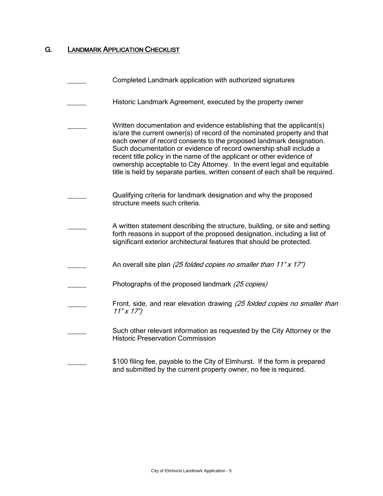# **G.** LANDMARK APPLICATION CHECKLIST

| Completed Landmark application with authorized signatures                                                                                                                                                                                                                                                                                                                                                                                                                                                                           |
|-------------------------------------------------------------------------------------------------------------------------------------------------------------------------------------------------------------------------------------------------------------------------------------------------------------------------------------------------------------------------------------------------------------------------------------------------------------------------------------------------------------------------------------|
| Historic Landmark Agreement, executed by the property owner                                                                                                                                                                                                                                                                                                                                                                                                                                                                         |
| Written documentation and evidence establishing that the applicant(s)<br>is/are the current owner(s) of record of the nominated property and that<br>each owner of record consents to the proposed landmark designation.<br>Such documentation or evidence of record ownership shall include a<br>recent title policy in the name of the applicant or other evidence of<br>ownership acceptable to City Attorney. In the event legal and equitable<br>title is held by separate parties, written consent of each shall be required. |
| Qualifying criteria for landmark designation and why the proposed<br>structure meets such criteria.                                                                                                                                                                                                                                                                                                                                                                                                                                 |
| A written statement describing the structure, building, or site and setting<br>forth reasons in support of the proposed designation, including a list of<br>significant exterior architectural features that should be protected.                                                                                                                                                                                                                                                                                                   |
| An overall site plan (25 folded copies no smaller than 11" x 17")                                                                                                                                                                                                                                                                                                                                                                                                                                                                   |
| Photographs of the proposed landmark (25 copies)                                                                                                                                                                                                                                                                                                                                                                                                                                                                                    |
| Front, side, and rear elevation drawing (25 folded copies no smaller than<br>$11''$ x $17"$                                                                                                                                                                                                                                                                                                                                                                                                                                         |
| Such other relevant information as requested by the City Attorney or the<br><b>Historic Preservation Commission</b>                                                                                                                                                                                                                                                                                                                                                                                                                 |
| \$100 filing fee, payable to the City of Elmhurst. If the form is prepared<br>and submitted by the current property owner, no fee is required.                                                                                                                                                                                                                                                                                                                                                                                      |